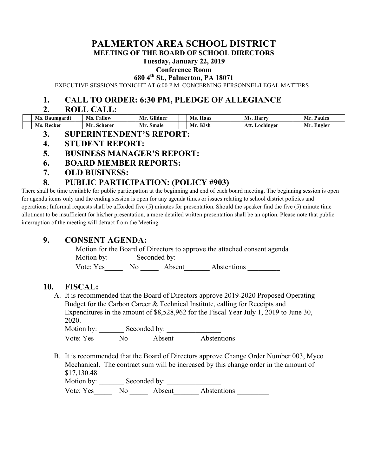# **PALMERTON AREA SCHOOL DISTRICT**

**MEETING OF THE BOARD OF SCHOOL DIRECTORS**

#### **Tuesday, January 22, 2019**

#### **Conference Room**

**680 4th St., Palmerton, PA 18071**

EXECUTIVE SESSIONS TONIGHT AT 6:00 P.M. CONCERNING PERSONNEL/LEGAL MATTERS

## **1. CALL TO ORDER: 6:30 PM, PLEDGE OF ALLEGIANCE**

#### **2. ROLL CALL:**

| Ms. Baumgardt | Ms.<br>. Fallow | n.<br>Mr.<br>Gildner | Haas<br>MS. | Ms.<br>Harry   | Paules<br>Mr. |
|---------------|-----------------|----------------------|-------------|----------------|---------------|
| Ms.<br>Recker | Mr<br>Scherer   | Mr.<br>Smale         | Kish<br>Mr  | Att. Lochinger | Mr. Engler    |

- **3. SUPERINTENDENT'S REPORT:**
- **4. STUDENT REPORT:**
- **5. BUSINESS MANAGER'S REPORT:**
- **6. BOARD MEMBER REPORTS:**
- **7. OLD BUSINESS:**

## **8. PUBLIC PARTICIPATION: (POLICY #903)**

There shall be time available for public participation at the beginning and end of each board meeting. The beginning session is open for agenda items only and the ending session is open for any agenda times or issues relating to school district policies and operations; Informal requests shall be afforded five (5) minutes for presentation. Should the speaker find the five (5) minute time allotment to be insufficient for his/her presentation, a more detailed written presentation shall be an option. Please note that public interruption of the meeting will detract from the Meeting

## **9. CONSENT AGENDA:**

Motion for the Board of Directors to approve the attached consent agenda Motion by: Seconded by: Vote: Yes No Absent Abstentions

## **10. FISCAL:**

A. It is recommended that the Board of Directors approve 2019-2020 Proposed Operating Budget for the Carbon Career & Technical Institute, calling for Receipts and Expenditures in the amount of \$8,528,962 for the Fiscal Year July 1, 2019 to June 30, 2020.

Motion by: Seconded by: Vote: Yes No Absent Abstentions

B. It is recommended that the Board of Directors approve Change Order Number 003, Myco Mechanical. The contract sum will be increased by this change order in the amount of \$17,130.48 Motion by: Seconded by:

Vote: Yes No Absent Abstentions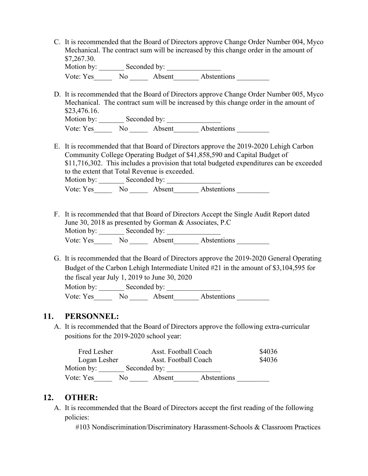| C. It is recommended that the Board of Directors approve Change Order Number 004, Myco |
|----------------------------------------------------------------------------------------|
| Mechanical. The contract sum will be increased by this change order in the amount of   |
| \$7,267.30.                                                                            |
| Motion by:<br>Seconded by:                                                             |

| Vote: Yes | No | Absent | Abstentions |  |
|-----------|----|--------|-------------|--|
|           |    |        |             |  |

D. It is recommended that the Board of Directors approve Change Order Number 005, Myco Mechanical. The contract sum will be increased by this change order in the amount of \$23,476.16. Motion by: \_\_\_\_\_\_\_ Seconded by: \_\_\_\_\_\_\_\_\_\_\_\_\_\_\_

Vote: Yes\_\_\_\_\_\_\_\_ No \_\_\_\_\_\_\_\_ Absent\_\_\_\_\_\_\_\_\_ Abstentions

E. It is recommended that that Board of Directors approve the 2019-2020 Lehigh Carbon Community College Operating Budget of \$41,858,590 and Capital Budget of \$11,716,302. This includes a provision that total budgeted expenditures can be exceeded to the extent that Total Revenue is exceeded.

Motion by: \_\_\_\_\_\_\_ Seconded by: \_\_\_\_\_\_\_\_\_\_\_\_\_\_\_ Vote: Yes No Absent Abstentions

- F. It is recommended that that Board of Directors Accept the Single Audit Report dated June 30, 2018 as presented by Gorman & Associates, P.C Motion by: \_\_\_\_\_\_\_ Seconded by: \_\_\_\_\_\_\_\_\_\_\_\_\_\_\_ Vote: Yes No No Absent Abstentions
- G. It is recommended that the Board of Directors approve the 2019-2020 General Operating Budget of the Carbon Lehigh Intermediate United #21 in the amount of \$3,104,595 for the fiscal year July 1, 2019 to June 30, 2020 Motion by: Seconded by:

Vote: Yes No Absent Abstentions

## **11. PERSONNEL:**

A. It is recommended that the Board of Directors approve the following extra-curricular positions for the 2019-2020 school year:

| Fred Lesher  |     | Asst. Football Coach |             | \$4036 |
|--------------|-----|----------------------|-------------|--------|
| Logan Lesher |     | Asst. Football Coach |             | \$4036 |
| Motion by:   |     | Seconded by:         |             |        |
| Vote: Yes    | No. | Absent               | Abstentions |        |

## **12. OTHER:**

A. It is recommended that the Board of Directors accept the first reading of the following policies:

#103 Nondiscrimination/Discriminatory Harassment-Schools & Classroom Practices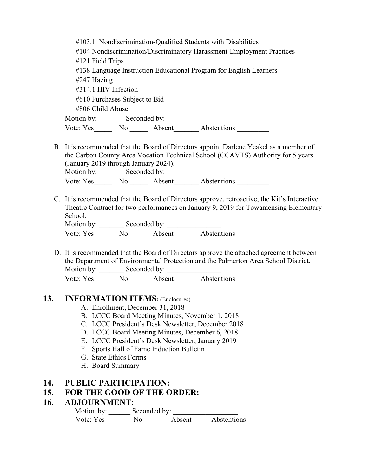| #103.1 Nondiscrimination-Qualified Students with Disabilities<br>#104 Nondiscrimination/Discriminatory Harassment-Employment Practices<br>#121 Field Trips<br>#138 Language Instruction Educational Program for English Learners |
|----------------------------------------------------------------------------------------------------------------------------------------------------------------------------------------------------------------------------------|
| #247 Hazing                                                                                                                                                                                                                      |
| #314.1 HIV Infection                                                                                                                                                                                                             |
| #610 Purchases Subject to Bid                                                                                                                                                                                                    |
| #806 Child Abuse                                                                                                                                                                                                                 |
|                                                                                                                                                                                                                                  |
| Vote: Yes No Absent Abstentions                                                                                                                                                                                                  |
| B. It is recommended that the Board of Directors appoint Darlene Yeakel as a member of<br>the Carbon County Area Vocation Technical School (CCAVTS) Authority for 5 years.<br>(January 2019 through January 2024).               |
| Vote: Yes________ No _______ Absent________ Abstentions __________                                                                                                                                                               |
| C. It is recommended that the Board of Directors approve, retroactive, the Kit's Interactive<br>Theatre Contract for two performances on January 9, 2019 for Towamensing Elementary<br>School.<br>Motion by: Seconded by:        |
|                                                                                                                                                                                                                                  |

Vote: Yes Mo Absent Abstentions

D. It is recommended that the Board of Directors approve the attached agreement between the Department of Environmental Protection and the Palmerton Area School District. Motion by: Seconded by: Vote: Yes No Absent Abstentions

#### **13. INFORMATION ITEMS:** (Enclosures)

- A. Enrollment, December 31, 2018
- B. LCCC Board Meeting Minutes, November 1, 2018
- C. LCCC President's Desk Newsletter, December 2018
- D. LCCC Board Meeting Minutes, December 6, 2018
- E. LCCC President's Desk Newsletter, January 2019
- F. Sports Hall of Fame Induction Bulletin
- G. State Ethics Forms
- H. Board Summary

#### **14. PUBLIC PARTICIPATION:**

### **15. FOR THE GOOD OF THE ORDER:**

#### **16. ADJOURNMENT:**

| Motion by: | Seconded by: |        |             |  |
|------------|--------------|--------|-------------|--|
| Vote: Yes  | No.          | Absent | Abstentions |  |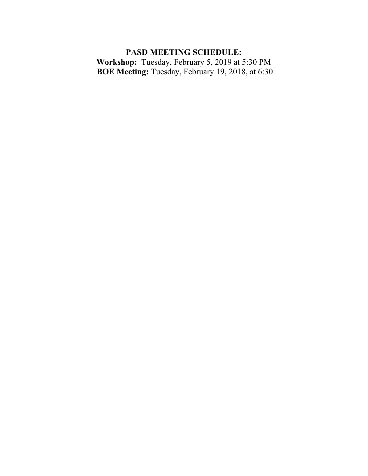# **PASD MEETING SCHEDULE:**

**Workshop:** Tuesday, February 5, 2019 at 5:30 PM **BOE Meeting:** Tuesday, February 19, 2018, at 6:30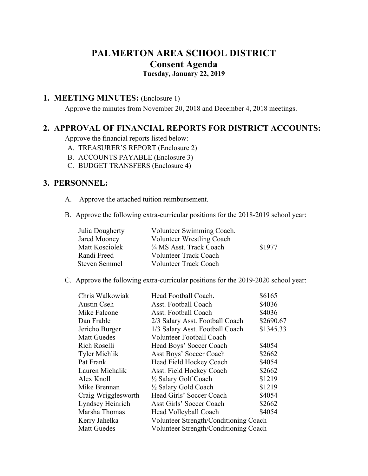## **PALMERTON AREA SCHOOL DISTRICT Consent Agenda Tuesday, January 22, 2019**

## **1. MEETING MINUTES:** (Enclosure 1)

 Approve the minutes from November 20, 2018 and December 4, 2018 meetings.

## **2. APPROVAL OF FINANCIAL REPORTS FOR DISTRICT ACCOUNTS:**

Approve the financial reports listed below:

- A. TREASURER'S REPORT (Enclosure 2)
- B. ACCOUNTS PAYABLE (Enclosure 3)
- C. BUDGET TRANSFERS (Enclosure 4)

## **3. PERSONNEL:**

- A. Approve the attached tuition reimbursement.
- B. Approve the following extra-curricular positions for the 2018-2019 school year:

| Julia Dougherty      | Volunteer Swimming Coach.        |        |
|----------------------|----------------------------------|--------|
| Jared Mooney         | <b>Volunteer Wrestling Coach</b> |        |
| Matt Kosciolek       | 3/4 MS Asst. Track Coach         | \$1977 |
| Randi Freed          | <b>Volunteer Track Coach</b>     |        |
| <b>Steven Semmel</b> | <b>Volunteer Track Coach</b>     |        |

C. Approve the following extra-curricular positions for the 2019-2020 school year:

| Chris Walkowiak      | Head Football Coach.                  | \$6165    |
|----------------------|---------------------------------------|-----------|
| Austin Cseh          | Asst. Football Coach                  | \$4036    |
| Mike Falcone         | Asst. Football Coach                  | \$4036    |
| Dan Frable           | 2/3 Salary Asst. Football Coach       | \$2690.67 |
| Jericho Burger       | 1/3 Salary Asst. Football Coach       | \$1345.33 |
| <b>Matt Guedes</b>   | <b>Volunteer Football Coach</b>       |           |
| Rich Roselli         | Head Boys' Soccer Coach               | \$4054    |
| <b>Tyler Michlik</b> | <b>Asst Boys' Soccer Coach</b>        | \$2662    |
| Pat Frank            | Head Field Hockey Coach               | \$4054    |
| Lauren Michalik      | Asst. Field Hockey Coach              | \$2662    |
| Alex Knoll           | 1/2 Salary Golf Coach                 | \$1219    |
| Mike Brennan         | 1/2 Salary Gold Coach                 | \$1219    |
| Craig Wrigglesworth  | Head Girls' Soccer Coach              | \$4054    |
| Lyndsey Heinrich     | Asst Girls' Soccer Coach              | \$2662    |
| Marsha Thomas        | Head Volleyball Coach                 | \$4054    |
| Kerry Jahelka        | Volunteer Strength/Conditioning Coach |           |
| <b>Matt Guedes</b>   | Volunteer Strength/Conditioning Coach |           |
|                      |                                       |           |